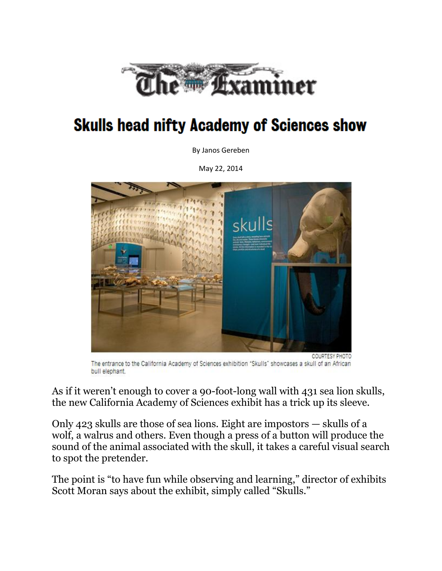

## **Skulls head nifty Academy of Sciences show**

By Janos Gereben

May 22, 2014



The entrance to the California Academy of Sciences exhibition "Skulls" showcases a skull of an African bull elephant.

As if it weren't enough to cover a 90-foot-long wall with 431 sea lion skulls, the new California Academy of Sciences exhibit has a trick up its sleeve.

Only 423 skulls are those of sea lions. Eight are impostors — skulls of a wolf, a walrus and others. Even though a press of a button will produce the sound of the animal associated with the skull, it takes a careful visual search to spot the pretender.

The point is "to have fun while observing and learning," director of exhibits Scott Moran says about the exhibit, simply called "Skulls."